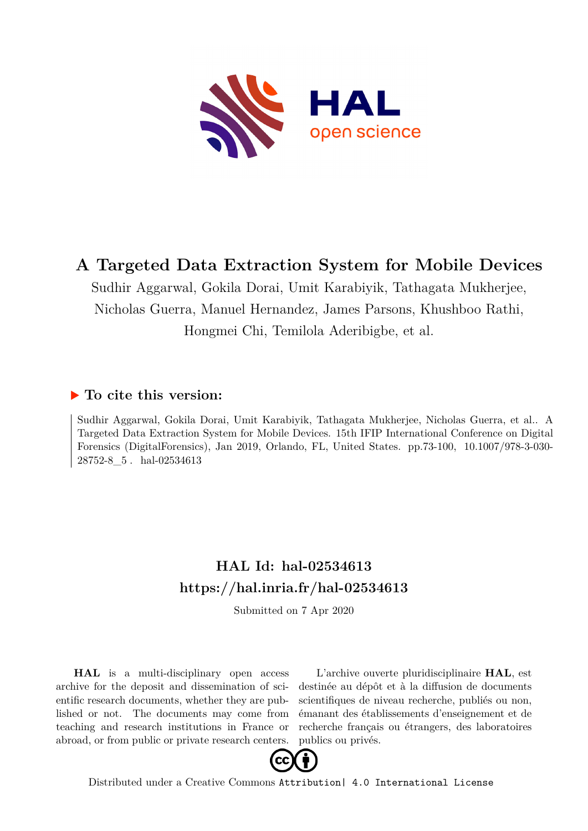

# **A Targeted Data Extraction System for Mobile Devices**

Sudhir Aggarwal, Gokila Dorai, Umit Karabiyik, Tathagata Mukherjee, Nicholas Guerra, Manuel Hernandez, James Parsons, Khushboo Rathi, Hongmei Chi, Temilola Aderibigbe, et al.

## **To cite this version:**

Sudhir Aggarwal, Gokila Dorai, Umit Karabiyik, Tathagata Mukherjee, Nicholas Guerra, et al.. A Targeted Data Extraction System for Mobile Devices. 15th IFIP International Conference on Digital Forensics (DigitalForensics), Jan 2019, Orlando, FL, United States. pp.73-100, 10.1007/978-3-030- $28752-8$  5. hal-02534613

# **HAL Id: hal-02534613 <https://hal.inria.fr/hal-02534613>**

Submitted on 7 Apr 2020

**HAL** is a multi-disciplinary open access archive for the deposit and dissemination of scientific research documents, whether they are published or not. The documents may come from teaching and research institutions in France or abroad, or from public or private research centers.

L'archive ouverte pluridisciplinaire **HAL**, est destinée au dépôt et à la diffusion de documents scientifiques de niveau recherche, publiés ou non, émanant des établissements d'enseignement et de recherche français ou étrangers, des laboratoires publics ou privés.



Distributed under a Creative Commons [Attribution| 4.0 International License](http://creativecommons.org/licenses/by/4.0/)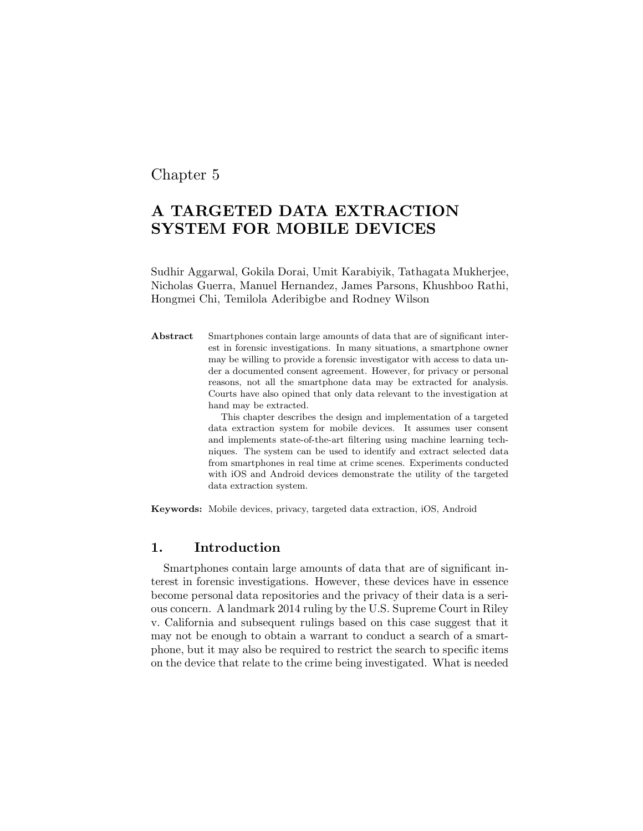## Chapter 5

## **A TARGETED DATA EXTRACTION SYSTEM FOR MOBILE DEVICES**

Sudhir Aggarwal, Gokila Dorai, Umit Karabiyik, Tathagata Mukherjee, Nicholas Guerra, Manuel Hernandez, James Parsons, Khushboo Rathi, Hongmei Chi, Temilola Aderibigbe and Rodney Wilson

**Abstract** Smartphones contain large amounts of data that are of significant interest in forensic investigations. In many situations, a smartphone owner may be willing to provide a forensic investigator with access to data under a documented consent agreement. However, for privacy or personal reasons, not all the smartphone data may be extracted for analysis. Courts have also opined that only data relevant to the investigation at hand may be extracted.

> This chapter describes the design and implementation of a targeted data extraction system for mobile devices. It assumes user consent and implements state-of-the-art filtering using machine learning techniques. The system can be used to identify and extract selected data from smartphones in real time at crime scenes. Experiments conducted with iOS and Android devices demonstrate the utility of the targeted data extraction system.

**Keywords:** Mobile devices, privacy, targeted data extraction, iOS, Android

## **1. Introduction**

Smartphones contain large amounts of data that are of significant interest in forensic investigations. However, these devices have in essence become personal data repositories and the privacy of their data is a serious concern. A landmark 2014 ruling by the U.S. Supreme Court in Riley v. California and subsequent rulings based on this case suggest that it may not be enough to obtain a warrant to conduct a search of a smartphone, but it may also be required to restrict the search to specific items on the device that relate to the crime being investigated. What is needed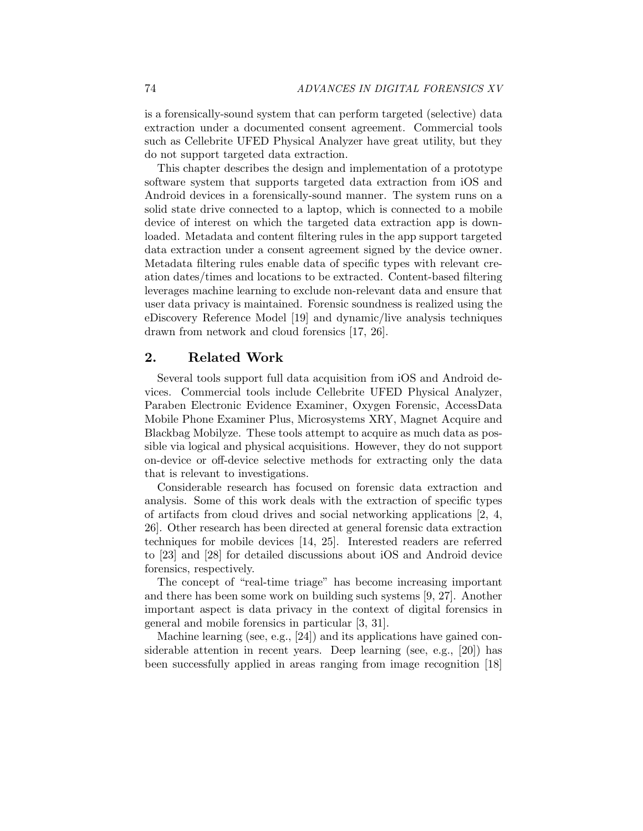is a forensically-sound system that can perform targeted (selective) data extraction under a documented consent agreement. Commercial tools such as Cellebrite UFED Physical Analyzer have great utility, but they do not support targeted data extraction.

This chapter describes the design and implementation of a prototype software system that supports targeted data extraction from iOS and Android devices in a forensically-sound manner. The system runs on a solid state drive connected to a laptop, which is connected to a mobile device of interest on which the targeted data extraction app is downloaded. Metadata and content filtering rules in the app support targeted data extraction under a consent agreement signed by the device owner. Metadata filtering rules enable data of specific types with relevant creation dates/times and locations to be extracted. Content-based filtering leverages machine learning to exclude non-relevant data and ensure that user data privacy is maintained. Forensic soundness is realized using the eDiscovery Reference Model [19] and dynamic/live analysis techniques drawn from network and cloud forensics [17, 26].

## **2. Related Work**

Several tools support full data acquisition from iOS and Android devices. Commercial tools include Cellebrite UFED Physical Analyzer, Paraben Electronic Evidence Examiner, Oxygen Forensic, AccessData Mobile Phone Examiner Plus, Microsystems XRY, Magnet Acquire and Blackbag Mobilyze. These tools attempt to acquire as much data as possible via logical and physical acquisitions. However, they do not support on-device or off-device selective methods for extracting only the data that is relevant to investigations.

Considerable research has focused on forensic data extraction and analysis. Some of this work deals with the extraction of specific types of artifacts from cloud drives and social networking applications [2, 4, 26]. Other research has been directed at general forensic data extraction techniques for mobile devices [14, 25]. Interested readers are referred to [23] and [28] for detailed discussions about iOS and Android device forensics, respectively.

The concept of "real-time triage" has become increasing important and there has been some work on building such systems [9, 27]. Another important aspect is data privacy in the context of digital forensics in general and mobile forensics in particular [3, 31].

Machine learning (see, e.g., [24]) and its applications have gained considerable attention in recent years. Deep learning (see, e.g., [20]) has been successfully applied in areas ranging from image recognition [18]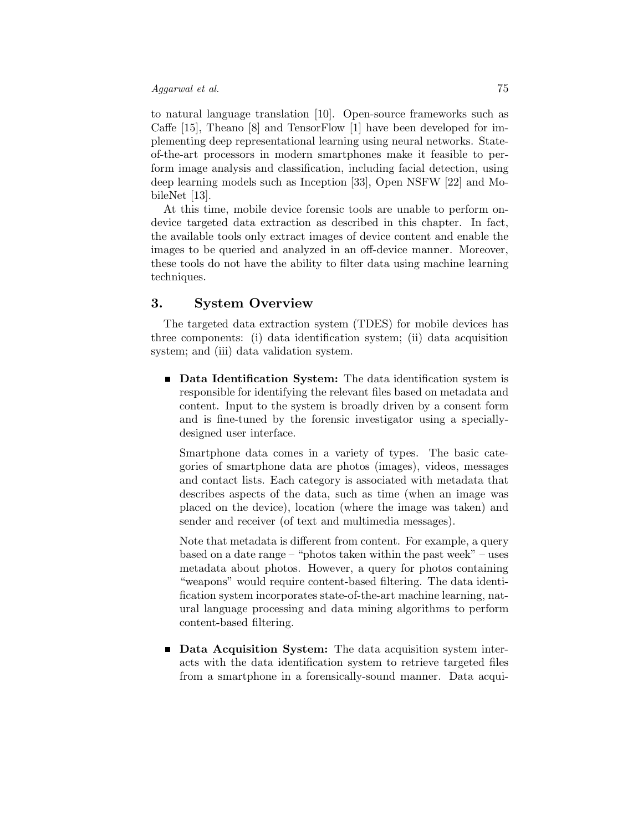to natural language translation [10]. Open-source frameworks such as Caffe [15], Theano [8] and TensorFlow [1] have been developed for implementing deep representational learning using neural networks. Stateof-the-art processors in modern smartphones make it feasible to perform image analysis and classification, including facial detection, using deep learning models such as Inception [33], Open NSFW [22] and MobileNet [13].

At this time, mobile device forensic tools are unable to perform ondevice targeted data extraction as described in this chapter. In fact, the available tools only extract images of device content and enable the images to be queried and analyzed in an off-device manner. Moreover, these tools do not have the ability to filter data using machine learning techniques.

## **3. System Overview**

The targeted data extraction system (TDES) for mobile devices has three components: (i) data identification system; (ii) data acquisition system; and (iii) data validation system.

**Data Identification System:** The data identification system is responsible for identifying the relevant files based on metadata and content. Input to the system is broadly driven by a consent form and is fine-tuned by the forensic investigator using a speciallydesigned user interface.

Smartphone data comes in a variety of types. The basic categories of smartphone data are photos (images), videos, messages and contact lists. Each category is associated with metadata that describes aspects of the data, such as time (when an image was placed on the device), location (where the image was taken) and sender and receiver (of text and multimedia messages).

Note that metadata is different from content. For example, a query based on a date range – "photos taken within the past week" – uses metadata about photos. However, a query for photos containing "weapons" would require content-based filtering. The data identification system incorporates state-of-the-art machine learning, natural language processing and data mining algorithms to perform content-based filtering.

**Data Acquisition System:** The data acquisition system interacts with the data identification system to retrieve targeted files from a smartphone in a forensically-sound manner. Data acqui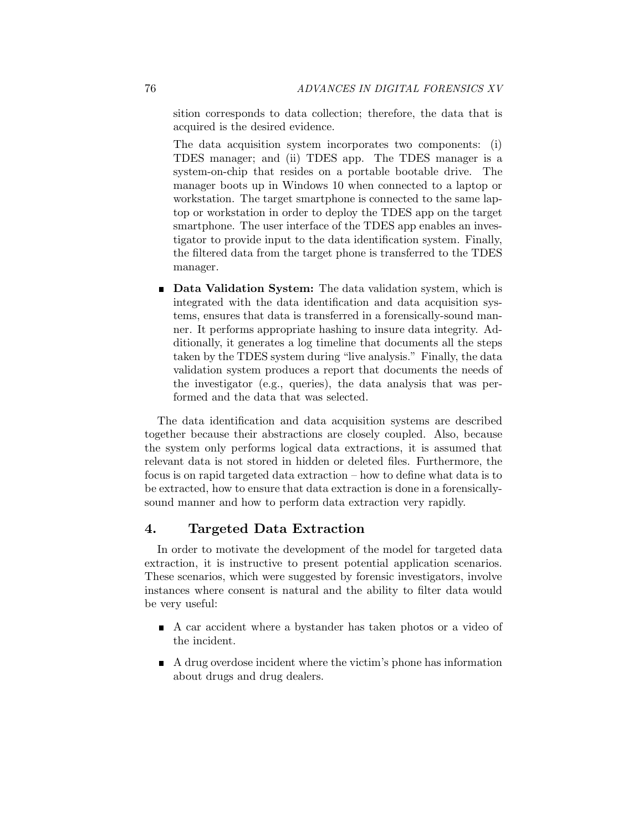sition corresponds to data collection; therefore, the data that is acquired is the desired evidence.

The data acquisition system incorporates two components: (i) TDES manager; and (ii) TDES app. The TDES manager is a system-on-chip that resides on a portable bootable drive. The manager boots up in Windows 10 when connected to a laptop or workstation. The target smartphone is connected to the same laptop or workstation in order to deploy the TDES app on the target smartphone. The user interface of the TDES app enables an investigator to provide input to the data identification system. Finally, the filtered data from the target phone is transferred to the TDES manager.

**Data Validation System:** The data validation system, which is  $\blacksquare$ integrated with the data identification and data acquisition systems, ensures that data is transferred in a forensically-sound manner. It performs appropriate hashing to insure data integrity. Additionally, it generates a log timeline that documents all the steps taken by the TDES system during "live analysis." Finally, the data validation system produces a report that documents the needs of the investigator (e.g., queries), the data analysis that was performed and the data that was selected.

The data identification and data acquisition systems are described together because their abstractions are closely coupled. Also, because the system only performs logical data extractions, it is assumed that relevant data is not stored in hidden or deleted files. Furthermore, the focus is on rapid targeted data extraction – how to define what data is to be extracted, how to ensure that data extraction is done in a forensicallysound manner and how to perform data extraction very rapidly.

## **4. Targeted Data Extraction**

In order to motivate the development of the model for targeted data extraction, it is instructive to present potential application scenarios. These scenarios, which were suggested by forensic investigators, involve instances where consent is natural and the ability to filter data would be very useful:

- A car accident where a bystander has taken photos or a video of the incident.
- A drug overdose incident where the victim's phone has information about drugs and drug dealers.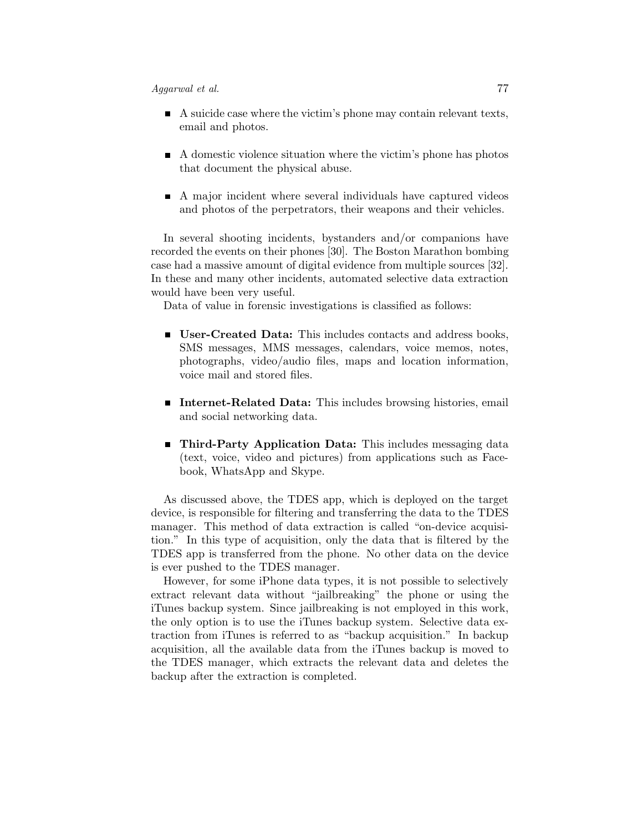- A suicide case where the victim's phone may contain relevant texts, email and photos.
- A domestic violence situation where the victim's phone has photos  $\blacksquare$ that document the physical abuse.
- A major incident where several individuals have captured videos and photos of the perpetrators, their weapons and their vehicles.

In several shooting incidents, bystanders and/or companions have recorded the events on their phones [30]. The Boston Marathon bombing case had a massive amount of digital evidence from multiple sources [32]. In these and many other incidents, automated selective data extraction would have been very useful.

Data of value in forensic investigations is classified as follows:

- **User-Created Data:** This includes contacts and address books, SMS messages, MMS messages, calendars, voice memos, notes, photographs, video/audio files, maps and location information, voice mail and stored files.
- **Internet-Related Data:** This includes browsing histories, email and social networking data.
- **Third-Party Application Data:** This includes messaging data (text, voice, video and pictures) from applications such as Facebook, WhatsApp and Skype.

As discussed above, the TDES app, which is deployed on the target device, is responsible for filtering and transferring the data to the TDES manager. This method of data extraction is called "on-device acquisition." In this type of acquisition, only the data that is filtered by the TDES app is transferred from the phone. No other data on the device is ever pushed to the TDES manager.

However, for some iPhone data types, it is not possible to selectively extract relevant data without "jailbreaking" the phone or using the iTunes backup system. Since jailbreaking is not employed in this work, the only option is to use the iTunes backup system. Selective data extraction from iTunes is referred to as "backup acquisition." In backup acquisition, all the available data from the iTunes backup is moved to the TDES manager, which extracts the relevant data and deletes the backup after the extraction is completed.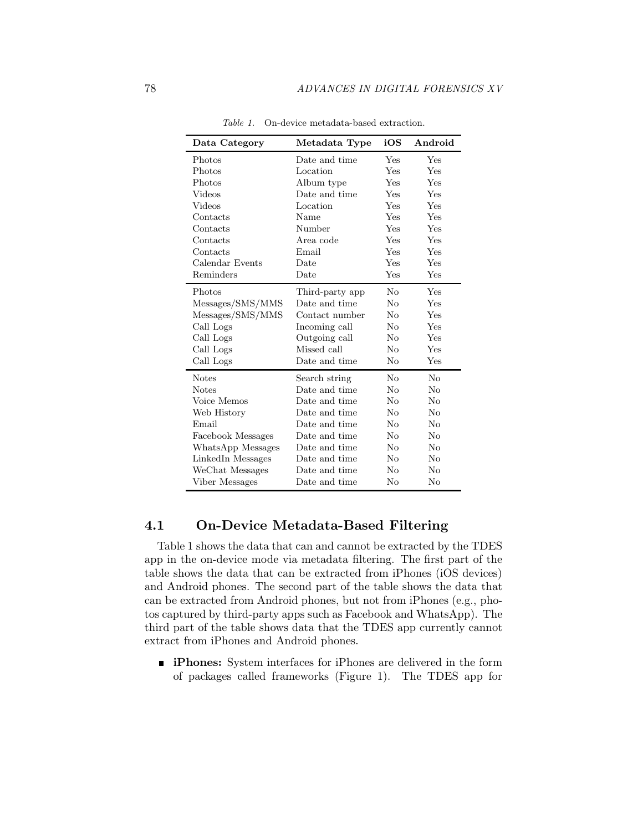| Data Category     | Metadata Type   | iOS              | Android          |
|-------------------|-----------------|------------------|------------------|
|                   |                 |                  |                  |
| Photos            | Date and time   | Yes              | Yes              |
| Photos            | Location        | Yes              | Yes              |
| Photos            | Album type      | Yes              | Yes              |
| <b>Videos</b>     | Date and time   | <b>Yes</b>       | Yes              |
| Videos            | Location        | Yes              | Yes              |
| Contacts          | Name            | Yes              | Yes              |
| Contacts          | Number          | Yes              | Yes              |
| Contacts          | Area code       | Yes              | Yes              |
| Contacts          | Email           | Yes              | Yes              |
| Calendar Events   | Date            | Yes              | Yes              |
| Reminders         | Date            | Yes              | Yes              |
| Photos            | Third-party app | No               | Yes              |
| Messages/SMS/MMS  | Date and time   | No               | Yes              |
| Messages/SMS/MMS  | Contact number  | No               | Yes              |
| Call Logs         | Incoming call   | No               | Yes              |
| Call Logs         | Outgoing call   | No               | Yes              |
| Call Logs         | Missed call     | No               | Yes              |
| Call Logs         | Date and time   | No               | Yes              |
| <b>Notes</b>      | Search string   | No               | No               |
| <b>Notes</b>      | Date and time   | No               | No               |
| Voice Memos       | Date and time   | $\rm No$         | No               |
| Web History       | Date and time   | $\rm N_{\Omega}$ | No               |
| Email             | Date and time   | No               | No               |
| Facebook Messages | Date and time   | $N_{\Omega}$     | $\rm N_{\Omega}$ |
| WhatsApp Messages | Date and time   | $N_{\Omega}$     | No               |
| LinkedIn Messages | Date and time   | $N_{\Omega}$     | No               |
| WeChat Messages   | Date and time   | No               | No               |
| Viber Messages    | Date and time   | No               | No               |
|                   |                 |                  |                  |

*Table 1.* On-device metadata-based extraction.

## **4.1 On-Device Metadata-Based Filtering**

Table 1 shows the data that can and cannot be extracted by the TDES app in the on-device mode via metadata filtering. The first part of the table shows the data that can be extracted from iPhones (iOS devices) and Android phones. The second part of the table shows the data that can be extracted from Android phones, but not from iPhones (e.g., photos captured by third-party apps such as Facebook and WhatsApp). The third part of the table shows data that the TDES app currently cannot extract from iPhones and Android phones.

**iPhones:** System interfaces for iPhones are delivered in the form of packages called frameworks (Figure 1). The TDES app for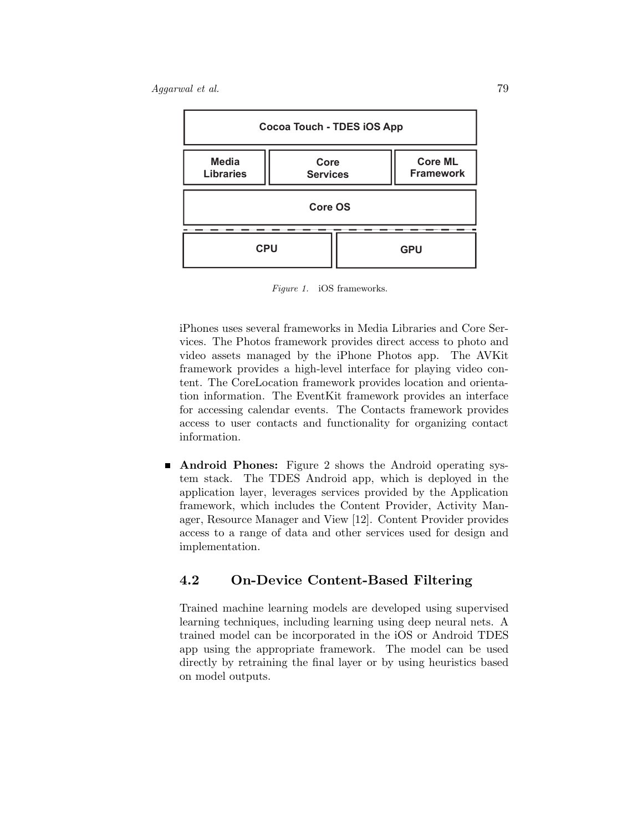

*Figure 1.* iOS frameworks.

iPhones uses several frameworks in Media Libraries and Core Services. The Photos framework provides direct access to photo and video assets managed by the iPhone Photos app. The AVKit framework provides a high-level interface for playing video content. The CoreLocation framework provides location and orientation information. The EventKit framework provides an interface for accessing calendar events. The Contacts framework provides access to user contacts and functionality for organizing contact information.

**Android Phones:** Figure 2 shows the Android operating system stack. The TDES Android app, which is deployed in the application layer, leverages services provided by the Application framework, which includes the Content Provider, Activity Manager, Resource Manager and View [12]. Content Provider provides access to a range of data and other services used for design and implementation.

## **4.2 On-Device Content-Based Filtering**

Trained machine learning models are developed using supervised learning techniques, including learning using deep neural nets. A trained model can be incorporated in the iOS or Android TDES app using the appropriate framework. The model can be used directly by retraining the final layer or by using heuristics based on model outputs.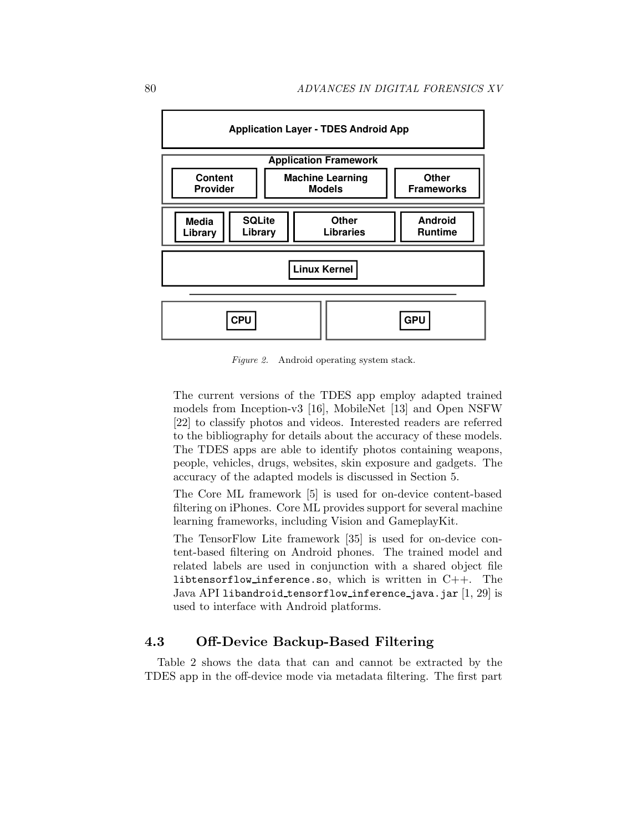

*Figure 2.* Android operating system stack.

The current versions of the TDES app employ adapted trained models from Inception-v3 [16], MobileNet [13] and Open NSFW [22] to classify photos and videos. Interested readers are referred to the bibliography for details about the accuracy of these models. The TDES apps are able to identify photos containing weapons, people, vehicles, drugs, websites, skin exposure and gadgets. The accuracy of the adapted models is discussed in Section 5.

The Core ML framework [5] is used for on-device content-based filtering on iPhones. Core ML provides support for several machine learning frameworks, including Vision and GameplayKit.

The TensorFlow Lite framework [35] is used for on-device content-based filtering on Android phones. The trained model and related labels are used in conjunction with a shared object file libtensorflow inference.so, which is written in C++. The Java API libandroid tensorflow inference java.jar  $[1, 29]$  is used to interface with Android platforms.

## **4.3 Off-Device Backup-Based Filtering**

Table 2 shows the data that can and cannot be extracted by the TDES app in the off-device mode via metadata filtering. The first part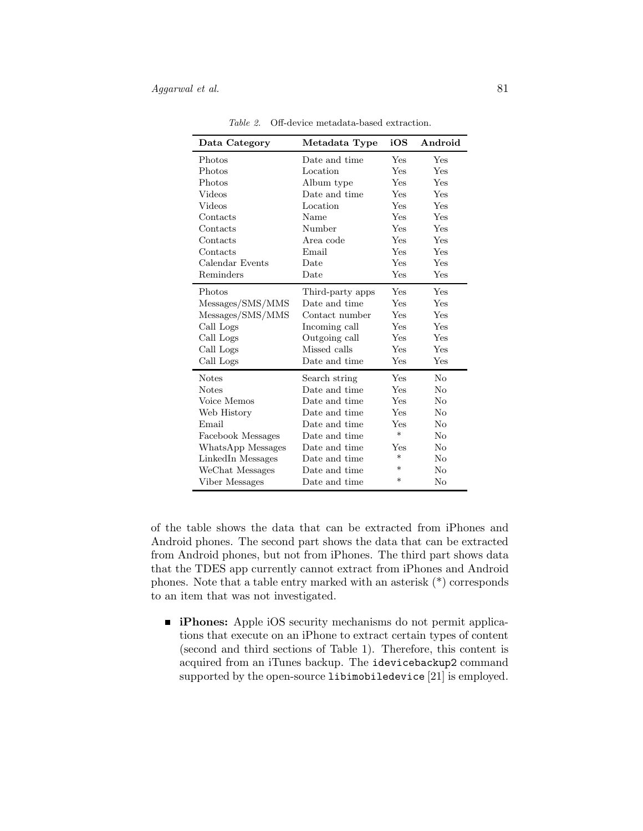| Data Category     | Metadata Type    | iOS    | Android        |
|-------------------|------------------|--------|----------------|
| Photos            | Date and time    | Yes    | Yes            |
| Photos            | Location         | Yes    | Yes            |
| Photos            | Album type       | Yes    | Yes            |
| Videos            | Date and time    | Yes    | Yes            |
| Videos            | Location         | Yes    | Yes            |
| Contacts          | Name             | Yes    | Yes            |
| Contacts          | Number           | Yes    | Yes            |
| Contacts          | Area code        | Yes    | Yes            |
| Contacts          | Email            | Yes    | Yes            |
| Calendar Events   | Date             | Yes    | Yes            |
| Reminders         | Date             | Yes    | Yes            |
| Photos            | Third-party apps | Yes    | Yes            |
| Messages/SMS/MMS  | Date and time    | Yes    | Yes            |
| Messages/SMS/MMS  | Contact number   | Yes    | Yes            |
| Call Logs         | Incoming call    | Yes    | Yes            |
| Call Logs         | Outgoing call    | Yes    | Yes            |
| Call Logs         | Missed calls     | Yes    | Yes            |
| Call Logs         | Date and time    | Yes    | Yes            |
| <b>Notes</b>      | Search string    | Yes    | No             |
| <b>Notes</b>      | Date and time    | Yes    | No             |
| Voice Memos       | Date and time    | Yes    | No             |
| Web History       | Date and time    | Yes    | No             |
| Email             | Date and time    | Yes    | No             |
| Facebook Messages | Date and time    | $\ast$ | N <sub>0</sub> |
| WhatsApp Messages | Date and time    | Yes    | No             |
| LinkedIn Messages | Date and time    | $\ast$ | No             |
| WeChat Messages   | Date and time    | $\ast$ | No             |
| Viber Messages    | Date and time    | $\ast$ | No             |

*Table 2.* Off-device metadata-based extraction.

of the table shows the data that can be extracted from iPhones and Android phones. The second part shows the data that can be extracted from Android phones, but not from iPhones. The third part shows data that the TDES app currently cannot extract from iPhones and Android phones. Note that a table entry marked with an asterisk (\*) corresponds to an item that was not investigated.

**iPhones:** Apple iOS security mechanisms do not permit applications that execute on an iPhone to extract certain types of content (second and third sections of Table 1). Therefore, this content is acquired from an iTunes backup. The idevicebackup2 command supported by the open-source libimobiledevice [21] is employed.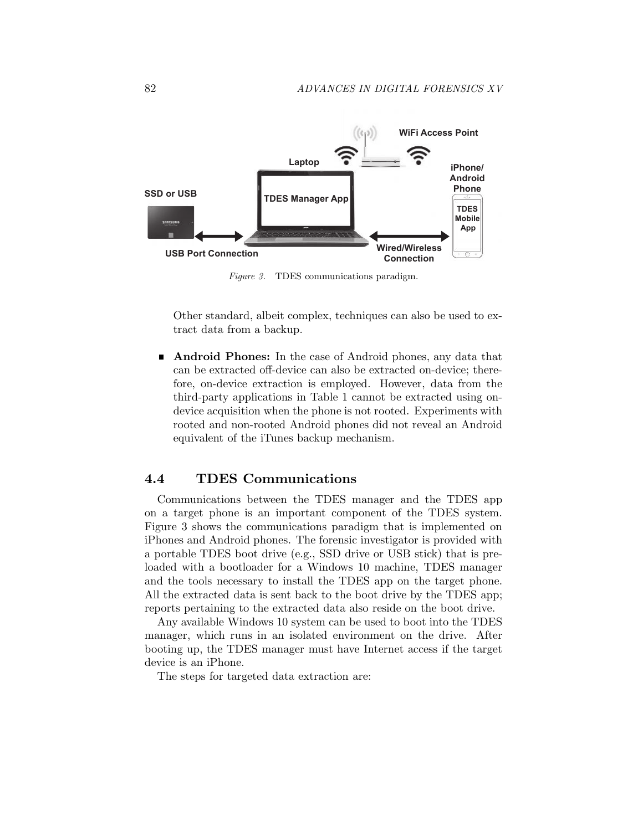

*Figure 3.* TDES communications paradigm.

Other standard, albeit complex, techniques can also be used to extract data from a backup.

**Android Phones:** In the case of Android phones, any data that  $\blacksquare$ can be extracted off-device can also be extracted on-device; therefore, on-device extraction is employed. However, data from the third-party applications in Table 1 cannot be extracted using ondevice acquisition when the phone is not rooted. Experiments with rooted and non-rooted Android phones did not reveal an Android equivalent of the iTunes backup mechanism.

## **4.4 TDES Communications**

Communications between the TDES manager and the TDES app on a target phone is an important component of the TDES system. Figure 3 shows the communications paradigm that is implemented on iPhones and Android phones. The forensic investigator is provided with a portable TDES boot drive (e.g., SSD drive or USB stick) that is preloaded with a bootloader for a Windows 10 machine, TDES manager and the tools necessary to install the TDES app on the target phone. All the extracted data is sent back to the boot drive by the TDES app; reports pertaining to the extracted data also reside on the boot drive.

Any available Windows 10 system can be used to boot into the TDES manager, which runs in an isolated environment on the drive. After booting up, the TDES manager must have Internet access if the target device is an iPhone.

The steps for targeted data extraction are: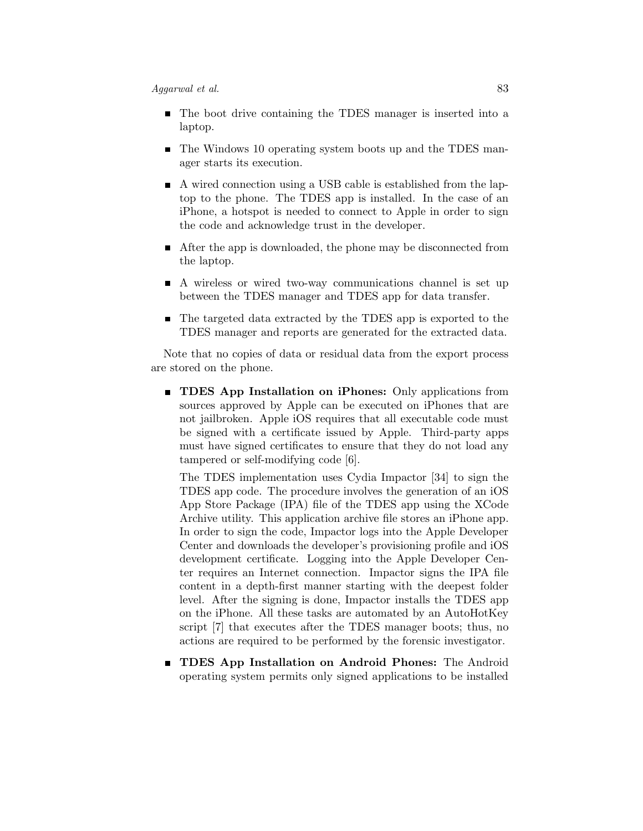- The boot drive containing the TDES manager is inserted into a laptop.
- The Windows 10 operating system boots up and the TDES manager starts its execution.
- A wired connection using a USB cable is established from the laptop to the phone. The TDES app is installed. In the case of an iPhone, a hotspot is needed to connect to Apple in order to sign the code and acknowledge trust in the developer.
- After the app is downloaded, the phone may be disconnected from the laptop.
- A wireless or wired two-way communications channel is set up between the TDES manager and TDES app for data transfer.
- The targeted data extracted by the TDES app is exported to the TDES manager and reports are generated for the extracted data.

Note that no copies of data or residual data from the export process are stored on the phone.

**TDES App Installation on iPhones:** Only applications from sources approved by Apple can be executed on iPhones that are not jailbroken. Apple iOS requires that all executable code must be signed with a certificate issued by Apple. Third-party apps must have signed certificates to ensure that they do not load any tampered or self-modifying code [6].

The TDES implementation uses Cydia Impactor [34] to sign the TDES app code. The procedure involves the generation of an iOS App Store Package (IPA) file of the TDES app using the XCode Archive utility. This application archive file stores an iPhone app. In order to sign the code, Impactor logs into the Apple Developer Center and downloads the developer's provisioning profile and iOS development certificate. Logging into the Apple Developer Center requires an Internet connection. Impactor signs the IPA file content in a depth-first manner starting with the deepest folder level. After the signing is done, Impactor installs the TDES app on the iPhone. All these tasks are automated by an AutoHotKey script [7] that executes after the TDES manager boots; thus, no actions are required to be performed by the forensic investigator.

**TDES App Installation on Android Phones:** The Android operating system permits only signed applications to be installed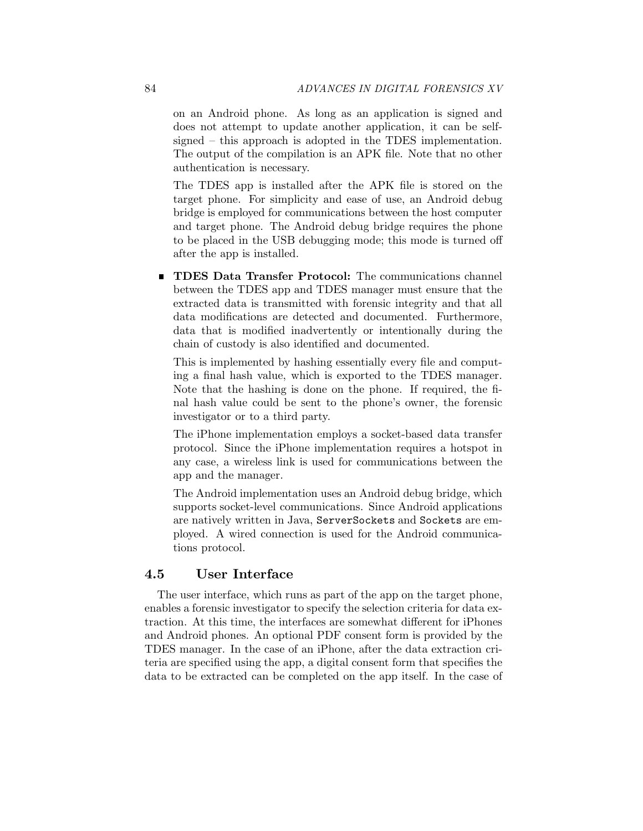on an Android phone. As long as an application is signed and does not attempt to update another application, it can be selfsigned – this approach is adopted in the TDES implementation. The output of the compilation is an APK file. Note that no other authentication is necessary.

The TDES app is installed after the APK file is stored on the target phone. For simplicity and ease of use, an Android debug bridge is employed for communications between the host computer and target phone. The Android debug bridge requires the phone to be placed in the USB debugging mode; this mode is turned off after the app is installed.

**TDES Data Transfer Protocol:** The communications channel between the TDES app and TDES manager must ensure that the extracted data is transmitted with forensic integrity and that all data modifications are detected and documented. Furthermore, data that is modified inadvertently or intentionally during the chain of custody is also identified and documented.

This is implemented by hashing essentially every file and computing a final hash value, which is exported to the TDES manager. Note that the hashing is done on the phone. If required, the final hash value could be sent to the phone's owner, the forensic investigator or to a third party.

The iPhone implementation employs a socket-based data transfer protocol. Since the iPhone implementation requires a hotspot in any case, a wireless link is used for communications between the app and the manager.

The Android implementation uses an Android debug bridge, which supports socket-level communications. Since Android applications are natively written in Java, ServerSockets and Sockets are employed. A wired connection is used for the Android communications protocol.

## **4.5 User Interface**

The user interface, which runs as part of the app on the target phone, enables a forensic investigator to specify the selection criteria for data extraction. At this time, the interfaces are somewhat different for iPhones and Android phones. An optional PDF consent form is provided by the TDES manager. In the case of an iPhone, after the data extraction criteria are specified using the app, a digital consent form that specifies the data to be extracted can be completed on the app itself. In the case of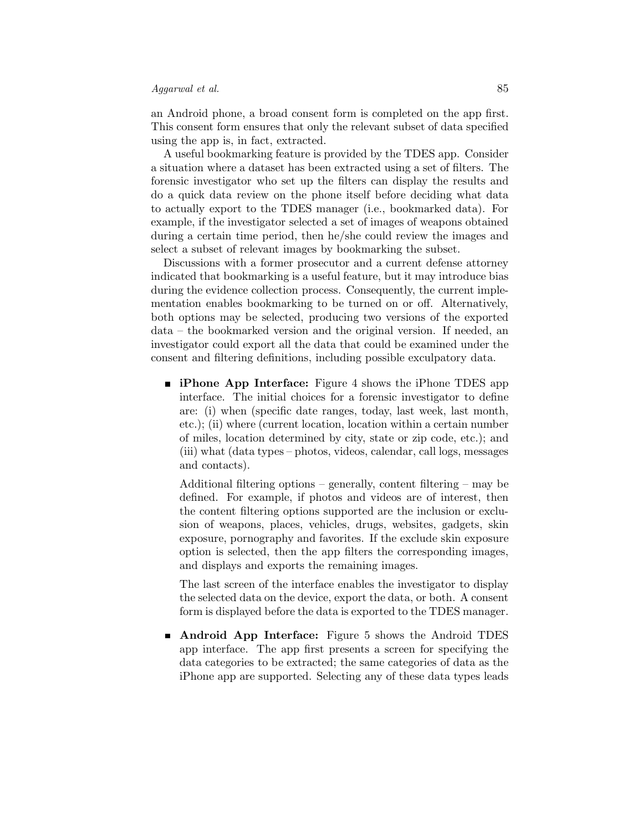an Android phone, a broad consent form is completed on the app first. This consent form ensures that only the relevant subset of data specified using the app is, in fact, extracted.

A useful bookmarking feature is provided by the TDES app. Consider a situation where a dataset has been extracted using a set of filters. The forensic investigator who set up the filters can display the results and do a quick data review on the phone itself before deciding what data to actually export to the TDES manager (i.e., bookmarked data). For example, if the investigator selected a set of images of weapons obtained during a certain time period, then he/she could review the images and select a subset of relevant images by bookmarking the subset.

Discussions with a former prosecutor and a current defense attorney indicated that bookmarking is a useful feature, but it may introduce bias during the evidence collection process. Consequently, the current implementation enables bookmarking to be turned on or off. Alternatively, both options may be selected, producing two versions of the exported data – the bookmarked version and the original version. If needed, an investigator could export all the data that could be examined under the consent and filtering definitions, including possible exculpatory data.

**iPhone App Interface:** Figure 4 shows the iPhone TDES app interface. The initial choices for a forensic investigator to define are: (i) when (specific date ranges, today, last week, last month, etc.); (ii) where (current location, location within a certain number of miles, location determined by city, state or zip code, etc.); and (iii) what (data types – photos, videos, calendar, call logs, messages and contacts).

Additional filtering options – generally, content filtering – may be defined. For example, if photos and videos are of interest, then the content filtering options supported are the inclusion or exclusion of weapons, places, vehicles, drugs, websites, gadgets, skin exposure, pornography and favorites. If the exclude skin exposure option is selected, then the app filters the corresponding images, and displays and exports the remaining images.

The last screen of the interface enables the investigator to display the selected data on the device, export the data, or both. A consent form is displayed before the data is exported to the TDES manager.

**Android App Interface:** Figure 5 shows the Android TDES app interface. The app first presents a screen for specifying the data categories to be extracted; the same categories of data as the iPhone app are supported. Selecting any of these data types leads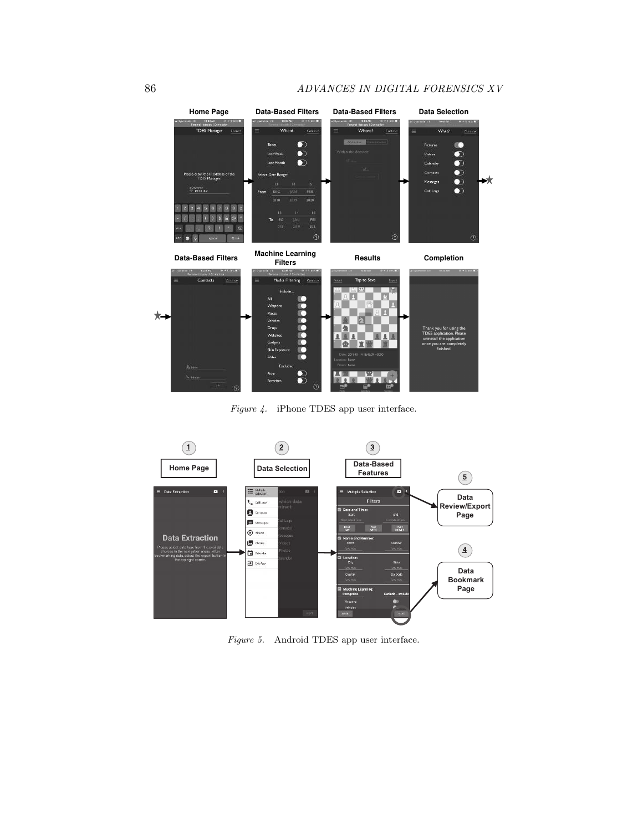

*Figure 4.* iPhone TDES app user interface.



*Figure 5.* Android TDES app user interface.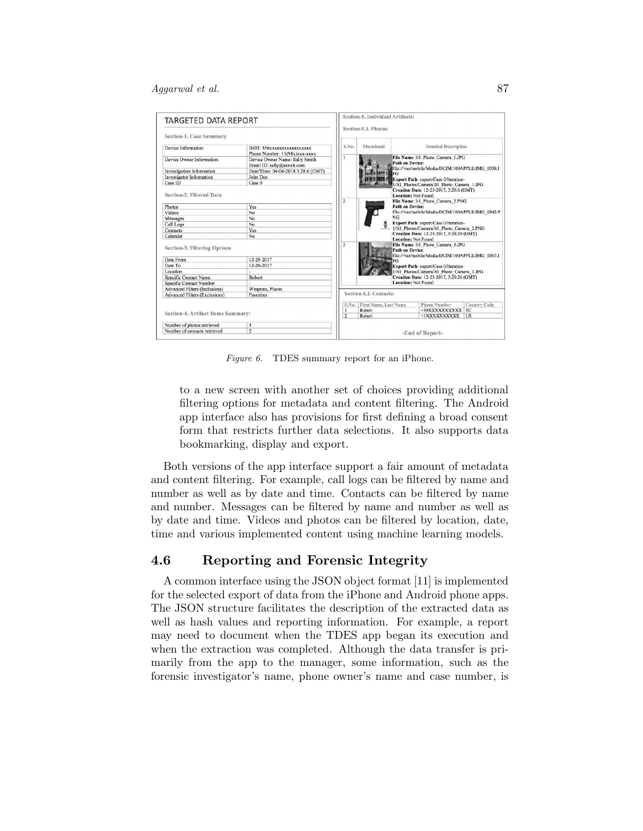| <b>TARGETED DATA REPORT</b>                    |                                                              |                                                             | Section-5. Individual Artifacts: |                        |                                                                                                            |
|------------------------------------------------|--------------------------------------------------------------|-------------------------------------------------------------|----------------------------------|------------------------|------------------------------------------------------------------------------------------------------------|
| Section-1. Case Summary                        |                                                              |                                                             | Section-5.1. Photos:             |                        |                                                                                                            |
| Device Information                             | IMEI: 356xxxxxxxxxxxxxxxx<br>Phone Number: $+1(98x)xxx-xxxx$ | S.No.                                                       | Thumbnail                        |                        | <b>Detailed Description</b>                                                                                |
| Device Owner Information                       | Device Owner Name: Sally Smith<br>Email ID: sally@sxxxh.com  | File Name: It1 Photo Camera 1.JPG<br><b>Path on Device:</b> |                                  |                        |                                                                                                            |
| Investigation Information                      | Date/Time: 04-04-2018 3:28:6 (GMT)                           |                                                             |                                  | PG                     | file:///var/mobile/Media/DCIM/100APPLE/IMG 0338.J                                                          |
| Investigator Information                       | John Doe                                                     |                                                             |                                  |                        | Export Path: export/Case 0/Iteration-                                                                      |
| Case ID                                        | Case 0                                                       |                                                             |                                  |                        | 1/It1 Photos/Camera/It1 Photo Camera 1.JPG                                                                 |
| Section-2, Filtered Data                       |                                                              | $\overline{2}$                                              |                                  |                        | Creation Date: 12-25-2017, 3:28:6 (GMT)<br><b>Location: Not Found</b><br>File Name: It1 Photo Camera 2.PNG |
| <b>Photos</b>                                  | Yes                                                          |                                                             |                                  | <b>Path on Device:</b> |                                                                                                            |
| Videos                                         | No                                                           |                                                             |                                  |                        | file:///var/mobile/Media/DCIM/100APPLE/IMG 0342.P                                                          |
| Messages                                       | No                                                           |                                                             |                                  | NG                     |                                                                                                            |
| Call Logs                                      | No                                                           |                                                             |                                  |                        | Export Path: export/Case 0/Iteration-                                                                      |
| Contacts                                       | Yes                                                          |                                                             |                                  |                        | 1/It1 Photos/Camera/It1 Photo Camera 2.PNG                                                                 |
| Calendar                                       | No                                                           |                                                             |                                  |                        | Creation Date: 12-25-2017, 3:28:20 (GMT)<br><b>Location: Not Found</b>                                     |
| Section-3. Filtering Options                   |                                                              | 3                                                           |                                  | <b>Path on Device:</b> | File Name: It1 Photo Camera 3.JPG                                                                          |
| Date From                                      | 12-25-2017                                                   |                                                             |                                  | PG                     | file:///var/mobile/Media/DCIM/100APPLE/IMG 0367.J                                                          |
| Date To                                        | 12-26-2017                                                   |                                                             |                                  |                        | Export Path: export/Case 0/Iteration-                                                                      |
| Location                                       |                                                              |                                                             |                                  |                        | 1/It1 Photos/Camera/It1 Photo Camera 3.JPG                                                                 |
| <b>Specific Contact Name</b>                   | Robert                                                       |                                                             |                                  |                        | Creation Date: 12-25-2017, 3:29:26 (GMT)                                                                   |
| Specific Contact Number                        |                                                              |                                                             |                                  |                        | <b>Location: Not Found</b>                                                                                 |
| <b>Advanced Filters (Inclusions)</b>           | Weapons, Places                                              |                                                             |                                  |                        |                                                                                                            |
| <b>Advanced Filters (Exclusions)</b>           | Favorites                                                    |                                                             | Section-5.2. Contacts:           |                        |                                                                                                            |
|                                                |                                                              | S.No.                                                       | First Name, Last Name            |                        | <b>Phone Number</b><br><b>Country Code</b>                                                                 |
|                                                |                                                              |                                                             | Robert                           |                        | +59XXXXXXXXXX EC                                                                                           |
| Section-4. Artifact Items Summary:             |                                                              | $\overline{2}$                                              | Robert                           |                        | +1XXXXXXXXXX<br>US                                                                                         |
| Number of photos retrieved                     | 3                                                            |                                                             |                                  |                        |                                                                                                            |
| $\overline{2}$<br>Number of contacts retrieved |                                                              |                                                             |                                  |                        | -End of Report-                                                                                            |

*Figure 6.* TDES summary report for an iPhone.

to a new screen with another set of choices providing additional filtering options for metadata and content filtering. The Android app interface also has provisions for first defining a broad consent form that restricts further data selections. It also supports data bookmarking, display and export.

Both versions of the app interface support a fair amount of metadata and content filtering. For example, call logs can be filtered by name and number as well as by date and time. Contacts can be filtered by name and number. Messages can be filtered by name and number as well as by date and time. Videos and photos can be filtered by location, date, time and various implemented content using machine learning models.

## **4.6 Reporting and Forensic Integrity**

A common interface using the JSON object format [11] is implemented for the selected export of data from the iPhone and Android phone apps. The JSON structure facilitates the description of the extracted data as well as hash values and reporting information. For example, a report may need to document when the TDES app began its execution and when the extraction was completed. Although the data transfer is primarily from the app to the manager, some information, such as the forensic investigator's name, phone owner's name and case number, is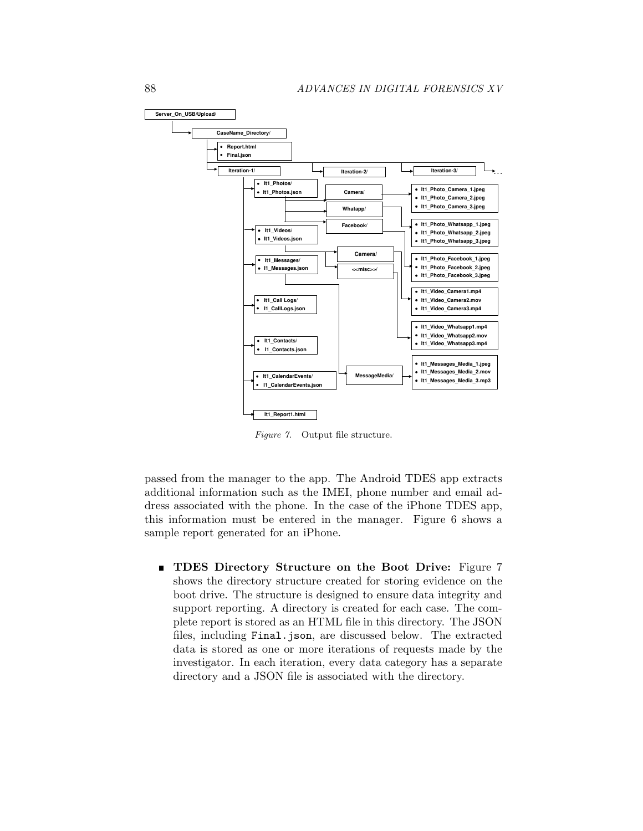

*Figure 7.* Output file structure.

passed from the manager to the app. The Android TDES app extracts additional information such as the IMEI, phone number and email address associated with the phone. In the case of the iPhone TDES app, this information must be entered in the manager. Figure 6 shows a sample report generated for an iPhone.

**TDES Directory Structure on the Boot Drive:** Figure 7 shows the directory structure created for storing evidence on the boot drive. The structure is designed to ensure data integrity and support reporting. A directory is created for each case. The complete report is stored as an HTML file in this directory. The JSON files, including Final.json, are discussed below. The extracted data is stored as one or more iterations of requests made by the investigator. In each iteration, every data category has a separate directory and a JSON file is associated with the directory.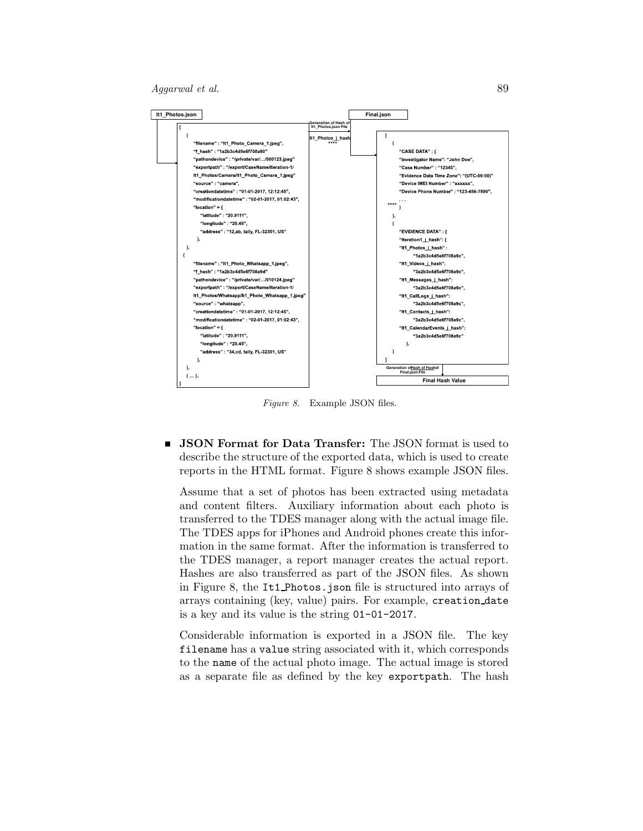

*Figure 8.* Example JSON files.

 $\blacksquare$ **JSON Format for Data Transfer:** The JSON format is used to describe the structure of the exported data, which is used to create reports in the HTML format. Figure 8 shows example JSON files.

Assume that a set of photos has been extracted using metadata and content filters. Auxiliary information about each photo is transferred to the TDES manager along with the actual image file. The TDES apps for iPhones and Android phones create this information in the same format. After the information is transferred to the TDES manager, a report manager creates the actual report. Hashes are also transferred as part of the JSON files. As shown in Figure 8, the It1 Photos.json file is structured into arrays of arrays containing (key, value) pairs. For example, creation date is a key and its value is the string 01-01-2017.

Considerable information is exported in a JSON file. The key filename has a value string associated with it, which corresponds to the name of the actual photo image. The actual image is stored as a separate file as defined by the key exportpath. The hash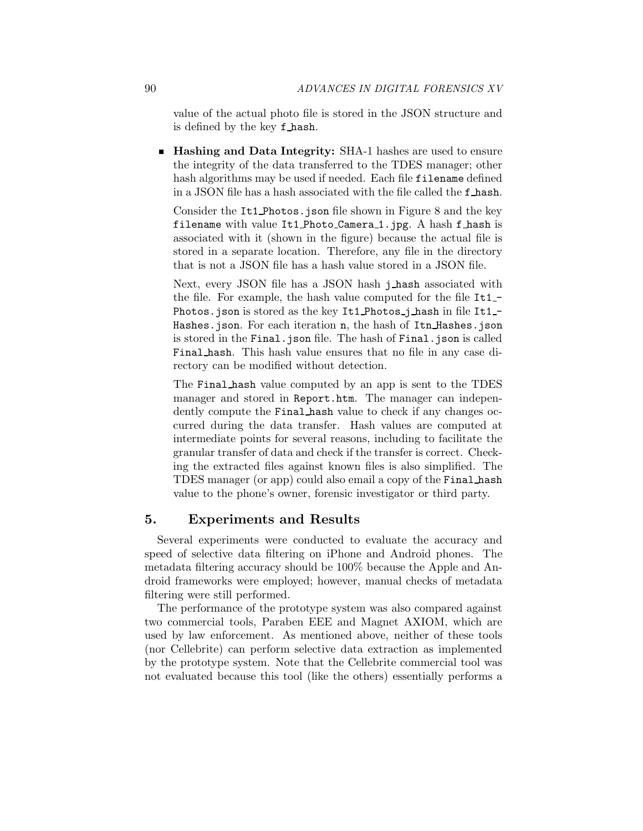value of the actual photo file is stored in the JSON structure and is defined by the key f hash.

**Hashing and Data Integrity:** SHA-1 hashes are used to ensure the integrity of the data transferred to the TDES manager; other hash algorithms may be used if needed. Each file filename defined in a JSON file has a hash associated with the file called the f hash.

Consider the It1 Photos.json file shown in Figure 8 and the key filename with value It1 Photo Camera 1.jpg. A hash f hash is associated with it (shown in the figure) because the actual file is stored in a separate location. Therefore, any file in the directory that is not a JSON file has a hash value stored in a JSON file.

Next, every JSON file has a JSON hash j hash associated with the file. For example, the hash value computed for the file  $It1-$ Photos.json is stored as the key It1 Photos j hash in file It1\_-Hashes.json. For each iteration n, the hash of Itn Hashes.json is stored in the Final.json file. The hash of Final.json is called Final hash. This hash value ensures that no file in any case directory can be modified without detection.

The Final hash value computed by an app is sent to the TDES manager and stored in Report.htm. The manager can independently compute the Final hash value to check if any changes occurred during the data transfer. Hash values are computed at intermediate points for several reasons, including to facilitate the granular transfer of data and check if the transfer is correct. Checking the extracted files against known files is also simplified. The TDES manager (or app) could also email a copy of the Final hash value to the phone's owner, forensic investigator or third party.

## **5. Experiments and Results**

Several experiments were conducted to evaluate the accuracy and speed of selective data filtering on iPhone and Android phones. The metadata filtering accuracy should be 100% because the Apple and Android frameworks were employed; however, manual checks of metadata filtering were still performed.

The performance of the prototype system was also compared against two commercial tools, Paraben EEE and Magnet AXIOM, which are used by law enforcement. As mentioned above, neither of these tools (nor Cellebrite) can perform selective data extraction as implemented by the prototype system. Note that the Cellebrite commercial tool was not evaluated because this tool (like the others) essentially performs a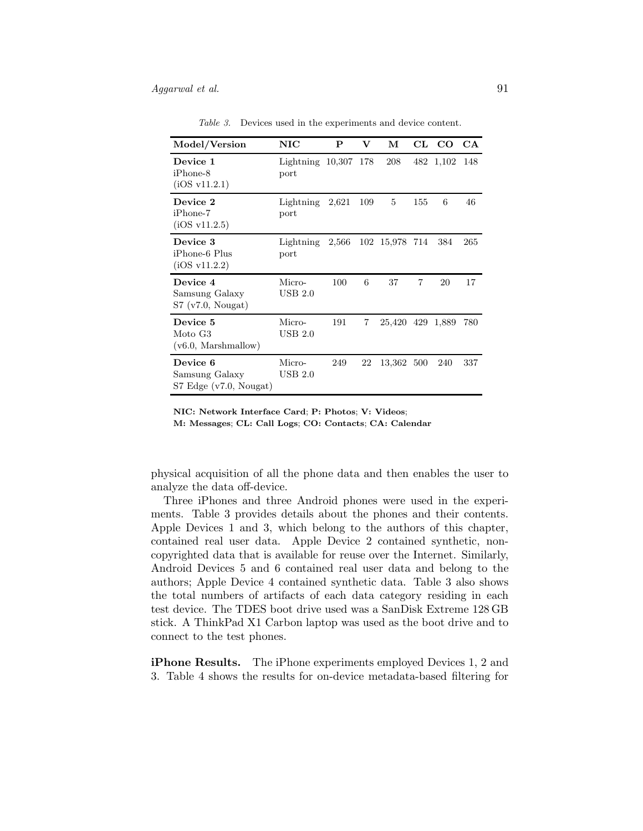| Model/Version                                          | NIC                            | P     | v   | М              |     | CL CO CA  |     |
|--------------------------------------------------------|--------------------------------|-------|-----|----------------|-----|-----------|-----|
| Device 1<br>iPhone-8<br>(iOS v11.2.1)                  | Lightning $10,307$ 178<br>port |       |     | 208            |     | 482 1,102 | 148 |
| Device 2<br>iPhone-7<br>(iOS v11.2.5)                  | Lightning<br>port              | 2,621 | 109 | 5              | 155 | 6         | 46  |
| Device 3<br><i>iPhone-6 Plus</i><br>(iOS v11.2.2)      | Lightning<br>port              | 2,566 |     | 102 15,978 714 |     | 384       | 265 |
| Device 4<br>Samsung Galaxy<br>S7(v7.0, Nougat)         | Micro-<br>$\text{USB } 2.0$    | 100   | 6   | 37             | 7   | 20        | 17  |
| Device 5<br>Moto G3<br>$(v6.0, \text{Marshmallow})$    | Micro-<br>$\text{USB } 2.0$    | 191   | 7   | 25,420         |     | 429 1,889 | 780 |
| Device 6<br>Samsung Galaxy<br>S7 Edge $(v7.0, Nougat)$ | Micro-<br>$\text{USB } 2.0$    | 249   | 22  | 13,362         | 500 | 240       | 337 |

*Table 3.* Devices used in the experiments and device content.

**NIC: Network Interface Card**; **P: Photos**; **V: Videos**; **M: Messages**; **CL: Call Logs**; **CO: Contacts**; **CA: Calendar**

physical acquisition of all the phone data and then enables the user to analyze the data off-device.

Three iPhones and three Android phones were used in the experiments. Table 3 provides details about the phones and their contents. Apple Devices 1 and 3, which belong to the authors of this chapter, contained real user data. Apple Device 2 contained synthetic, noncopyrighted data that is available for reuse over the Internet. Similarly, Android Devices 5 and 6 contained real user data and belong to the authors; Apple Device 4 contained synthetic data. Table 3 also shows the total numbers of artifacts of each data category residing in each test device. The TDES boot drive used was a SanDisk Extreme 128 GB stick. A ThinkPad X1 Carbon laptop was used as the boot drive and to connect to the test phones.

**iPhone Results.** The iPhone experiments employed Devices 1, 2 and 3. Table 4 shows the results for on-device metadata-based filtering for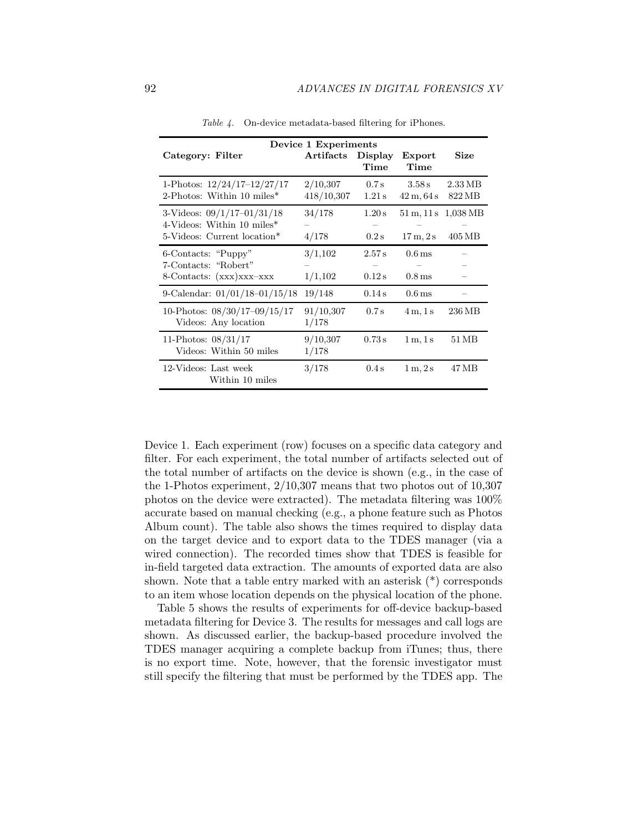| Device 1 Experiments                                                                      |                            |                    |                                               |                                |  |
|-------------------------------------------------------------------------------------------|----------------------------|--------------------|-----------------------------------------------|--------------------------------|--|
| Category: Filter                                                                          | $\operatorname{Artifacts}$ | Display<br>Time    | Export<br>Time                                | <b>Size</b>                    |  |
| 1-Photos: $12/24/17-12/27/17$<br>2-Photos: Within 10 miles*                               | 2/10,307<br>418/10,307     | 0.7 s<br>1.21 s    | 3.58 s<br>$42 \,\mathrm{m}, 64 \,\mathrm{s}$  | $2.33\,\mathrm{MB}$<br>822 MB  |  |
| 3-Videos: $09/1/17-01/31/18$<br>4-Videos: Within 10 miles*<br>5-Videos: Current location* | 34/178<br>4/178            | 1.20 s<br>0.2 s    | $51 \,\mathrm{m}, 11 \,\mathrm{s}$<br>17m, 2s | $1,038\,\mathrm{MB}$<br>405 MB |  |
| 6-Contacts: "Puppy"<br>7-Contacts: "Robert"<br>8-Contacts: (xxx)xxx-xxx                   | 3/1,102<br>1/1,102         | 2.57 s<br>$0.12$ s | 0.6 <sub>ms</sub><br>$0.8 \,\mathrm{ms}$      |                                |  |
| 9-Calendar: $01/01/18-01/15/18$                                                           | 19/148                     | 0.14s              | 0.6 <sub>ms</sub>                             |                                |  |
| 10-Photos: $08/30/17-09/15/17$<br>Videos: Any location                                    | 91/10,307<br>1/178         | 0.7 s              | 4m, 1s                                        | 236 MB                         |  |
| 11-Photos: $08/31/17$<br>Videos: Within 50 miles                                          | 9/10,307<br>1/178          | 0.73 s             | 1 m, 1 s                                      | 51 MB                          |  |
| 12-Videos: Last week<br>Within 10 miles                                                   | 3/178                      | 0.4s               | 1 m, 2 s                                      | 47 MB                          |  |

*Table 4.* On-device metadata-based filtering for iPhones.

Device 1. Each experiment (row) focuses on a specific data category and filter. For each experiment, the total number of artifacts selected out of the total number of artifacts on the device is shown (e.g., in the case of the 1-Photos experiment, 2/10,307 means that two photos out of 10,307 photos on the device were extracted). The metadata filtering was 100% accurate based on manual checking (e.g., a phone feature such as Photos Album count). The table also shows the times required to display data on the target device and to export data to the TDES manager (via a wired connection). The recorded times show that TDES is feasible for in-field targeted data extraction. The amounts of exported data are also shown. Note that a table entry marked with an asterisk (\*) corresponds to an item whose location depends on the physical location of the phone.

Table 5 shows the results of experiments for off-device backup-based metadata filtering for Device 3. The results for messages and call logs are shown. As discussed earlier, the backup-based procedure involved the TDES manager acquiring a complete backup from iTunes; thus, there is no export time. Note, however, that the forensic investigator must still specify the filtering that must be performed by the TDES app. The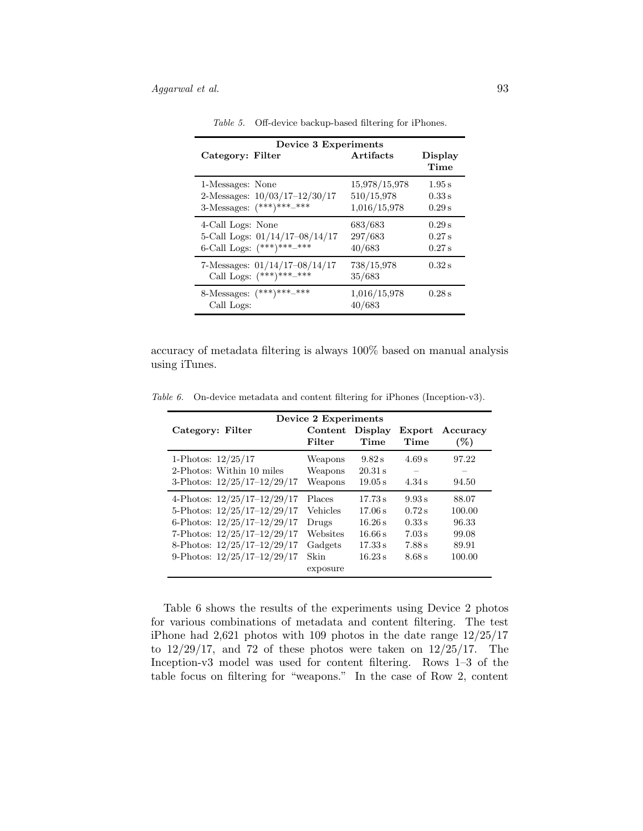| Device 3 Experiments                                                                  |                                             |                             |  |  |  |
|---------------------------------------------------------------------------------------|---------------------------------------------|-----------------------------|--|--|--|
| Category: Filter                                                                      | Artifacts                                   | <b>Display</b><br>Time      |  |  |  |
| 1-Messages: None<br>2-Messages: $10/03/17-12/30/17$<br>3-Messages: $(***)***-****$    | 15,978/15,978<br>510/15,978<br>1,016/15,978 | 1.95 s<br>0.33 s<br>0.29 s  |  |  |  |
| 4-Call Logs: None<br>5-Call Logs: $01/14/17-08/14/17$<br>6-Call Logs: $(***)***-****$ | 683/683<br>297/683<br>40/683                | 0.29 s<br>$0.27$ s<br>0.27s |  |  |  |
| 7-Messages: $01/14/17-08/14/17$<br>Call Logs: $(***)***-****$                         | 738/15,978<br>35/683                        | $0.32$ s                    |  |  |  |
| 8-Messages: $(***)***-****$<br>Call Logs:                                             | 1,016/15,978<br>40/683                      | 0.28s                       |  |  |  |

*Table 5.* Off-device backup-based filtering for iPhones.

accuracy of metadata filtering is always 100% based on manual analysis using iTunes.

| Device 2 Experiments                                                                                                                                                                               |                                                                        |                                                                |                                                            |                                                      |  |
|----------------------------------------------------------------------------------------------------------------------------------------------------------------------------------------------------|------------------------------------------------------------------------|----------------------------------------------------------------|------------------------------------------------------------|------------------------------------------------------|--|
| Category: Filter                                                                                                                                                                                   | Content<br>Filter                                                      | <b>Display</b><br>Time                                         | Export<br>Time                                             | Accuracy<br>$(\%)$                                   |  |
| 1-Photos: $12/25/17$<br>2-Photos: Within 10 miles<br>3-Photos: $12/25/17-12/29/17$                                                                                                                 | Weapons<br>Weapons<br>Weapons                                          | 9.82 s<br>20.31 s<br>19.05 s                                   | 4.69 s<br>4.34 s                                           | 97.22<br>94.50                                       |  |
| 4-Photos: $12/25/17-12/29/17$<br>5-Photos: $12/25/17-12/29/17$<br>6-Photos: $12/25/17-12/29/17$<br>7-Photos: $12/25/17-12/29/17$<br>8-Photos: $12/25/17-12/29/17$<br>9-Photos: $12/25/17-12/29/17$ | Places<br>Vehicles<br>Drugs<br>Websites<br>Gadgets<br>Skin<br>exposure | 17.73 s<br>17.06 s<br>16.26 s<br>16.66 s<br>17.33 s<br>16.23 s | 9.93 s<br>$0.72$ s<br>0.33 s<br>7.03 s<br>7.88 s<br>8.68 s | 88.07<br>100.00<br>96.33<br>99.08<br>89.91<br>100.00 |  |

*Table 6.* On-device metadata and content filtering for iPhones (Inception-v3).

Table 6 shows the results of the experiments using Device 2 photos for various combinations of metadata and content filtering. The test iPhone had 2,621 photos with 109 photos in the date range 12/25/17 to  $12/29/17$ , and 72 of these photos were taken on  $12/25/17$ . The Inception-v3 model was used for content filtering. Rows 1–3 of the table focus on filtering for "weapons." In the case of Row 2, content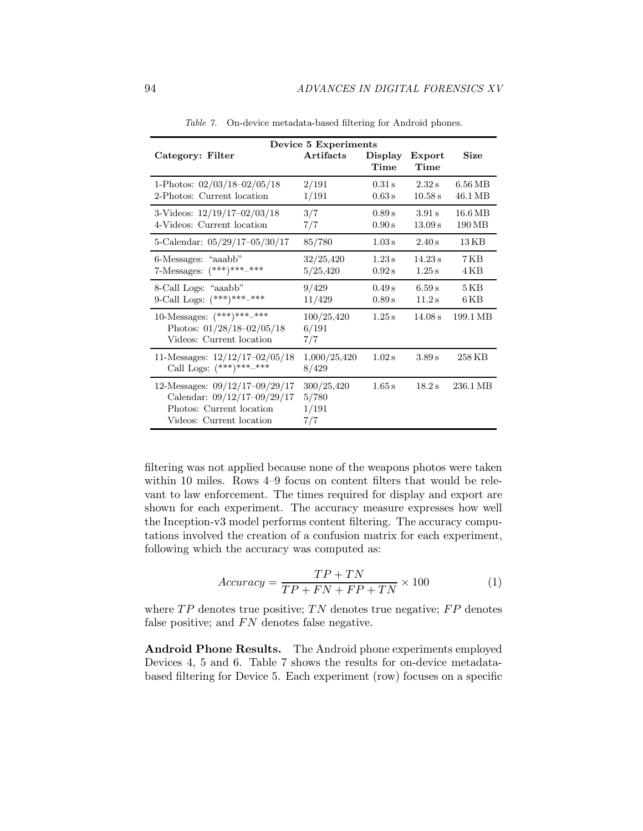| Device 5 Experiments                                                                                                      |                                     |                        |                   |                                      |
|---------------------------------------------------------------------------------------------------------------------------|-------------------------------------|------------------------|-------------------|--------------------------------------|
| Category: Filter                                                                                                          | Artifacts                           | <b>Display</b><br>Time | Export<br>Time    | <b>Size</b>                          |
| 1-Photos: $02/03/18-02/05/18$<br>2-Photos: Current location                                                               | 2/191<br>1/191                      | $0.31$ s<br>0.63 s     | 2.32 s<br>10.58 s | 6.56 MB<br>46.1 MB                   |
| 3-Videos: $12/19/17-02/03/18$<br>4-Videos: Current location                                                               | 3/7<br>7/7                          | 0.89 s<br>0.90 s       | 3.91 s<br>13.09 s | $16.6\,\mathrm{MB}$<br>190 MB        |
| 5-Calendar: $05/29/17-05/30/17$                                                                                           | 85/780                              | 1.03 s                 | 2.40 s            | 13 KB                                |
| 6-Messages: "aaabb"<br>$(***)***-****$<br>7-Messages:                                                                     | 32/25,420<br>5/25,420               | 1.23 s<br>0.92 s       | 14.23 s<br>1.25s  | 7 K B<br>4 KB                        |
| 8-Call Logs: "aaabb"<br>9-Call Logs: $(***)*******$                                                                       | 9/429<br>11/429                     | 0.49 s<br>0.89 s       | 6.59 s<br>11.2 s  | 5 <sub>K</sub> B<br>$6\,\mathrm{KB}$ |
| 10-Messages: $(***)***-****$<br>Photos: $01/28/18-02/05/18$<br>Videos: Current location                                   | 100/25,420<br>6/191<br>7/7          | 1.25s                  | 14.08 s           | 199.1 MB                             |
| 11-Messages: $12/12/17-02/05/18$<br>Call Logs: $(***)***-****$                                                            | 1,000/25,420<br>8/429               | 1.02 s                 | 3.89 s            | 258 KB                               |
| 12-Messages: $09/12/17-09/29/17$<br>Calendar: $09/12/17-09/29/17$<br>Photos: Current location<br>Videos: Current location | 300/25,420<br>5/780<br>1/191<br>7/7 | 1.65 s                 | 18.2 s            | 236.1 MB                             |

*Table 7.* On-device metadata-based filtering for Android phones.

filtering was not applied because none of the weapons photos were taken within 10 miles. Rows 4–9 focus on content filters that would be relevant to law enforcement. The times required for display and export are shown for each experiment. The accuracy measure expresses how well the Inception-v3 model performs content filtering. The accuracy computations involved the creation of a confusion matrix for each experiment, following which the accuracy was computed as:

$$
Accuracy = \frac{TP + TN}{TP + FN + FP + TN} \times 100\tag{1}
$$

where  $TP$  denotes true positive;  $TN$  denotes true negative;  $FP$  denotes false positive; and  $FN$  denotes false negative.

**Android Phone Results.** The Android phone experiments employed Devices 4, 5 and 6. Table 7 shows the results for on-device metadatabased filtering for Device 5. Each experiment (row) focuses on a specific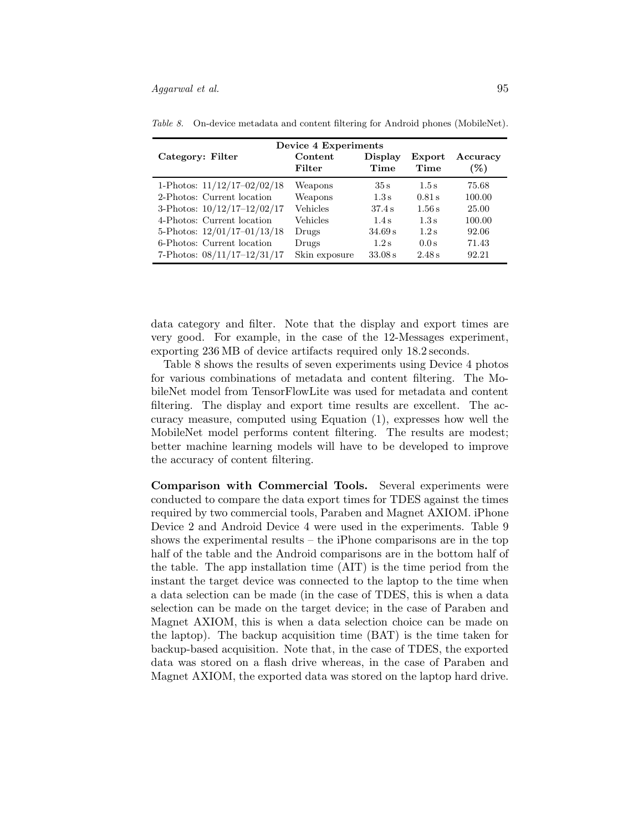| Device 4 Experiments          |               |                |          |          |  |
|-------------------------------|---------------|----------------|----------|----------|--|
| Category: Filter              | Content       | <b>Display</b> | Export   | Accuracy |  |
|                               | Filter        | Time           | Time     | $(\%)$   |  |
| 1-Photos: $11/12/17-02/02/18$ | Weapons       | 35 s           | 1.5s     | 75.68    |  |
| 2-Photos: Current location    | Weapons       | 1.3s           | $0.81$ s | 100.00   |  |
| 3-Photos: $10/12/17-12/02/17$ | Vehicles      | 37.4 s         | 1.56 s   | 25.00    |  |
| 4-Photos: Current location    | Vehicles      | 1.4s           | 1.3s     | 100.00   |  |
| 5-Photos: $12/01/17-01/13/18$ | Drugs         | 34.69 s        | 1.2s     | 92.06    |  |
| 6-Photos: Current location    | Drugs         | 1.2s           | 0.0 s    | 71.43    |  |
| 7-Photos: $08/11/17-12/31/17$ | Skin exposure | 33.08 s        | 2.48 s   | 92.21    |  |

*Table 8.* On-device metadata and content filtering for Android phones (MobileNet).

data category and filter. Note that the display and export times are very good. For example, in the case of the 12-Messages experiment, exporting 236 MB of device artifacts required only 18.2 seconds.

Table 8 shows the results of seven experiments using Device 4 photos for various combinations of metadata and content filtering. The MobileNet model from TensorFlowLite was used for metadata and content filtering. The display and export time results are excellent. The accuracy measure, computed using Equation (1), expresses how well the MobileNet model performs content filtering. The results are modest; better machine learning models will have to be developed to improve the accuracy of content filtering.

**Comparison with Commercial Tools.** Several experiments were conducted to compare the data export times for TDES against the times required by two commercial tools, Paraben and Magnet AXIOM. iPhone Device 2 and Android Device 4 were used in the experiments. Table 9 shows the experimental results – the iPhone comparisons are in the top half of the table and the Android comparisons are in the bottom half of the table. The app installation time (AIT) is the time period from the instant the target device was connected to the laptop to the time when a data selection can be made (in the case of TDES, this is when a data selection can be made on the target device; in the case of Paraben and Magnet AXIOM, this is when a data selection choice can be made on the laptop). The backup acquisition time (BAT) is the time taken for backup-based acquisition. Note that, in the case of TDES, the exported data was stored on a flash drive whereas, in the case of Paraben and Magnet AXIOM, the exported data was stored on the laptop hard drive.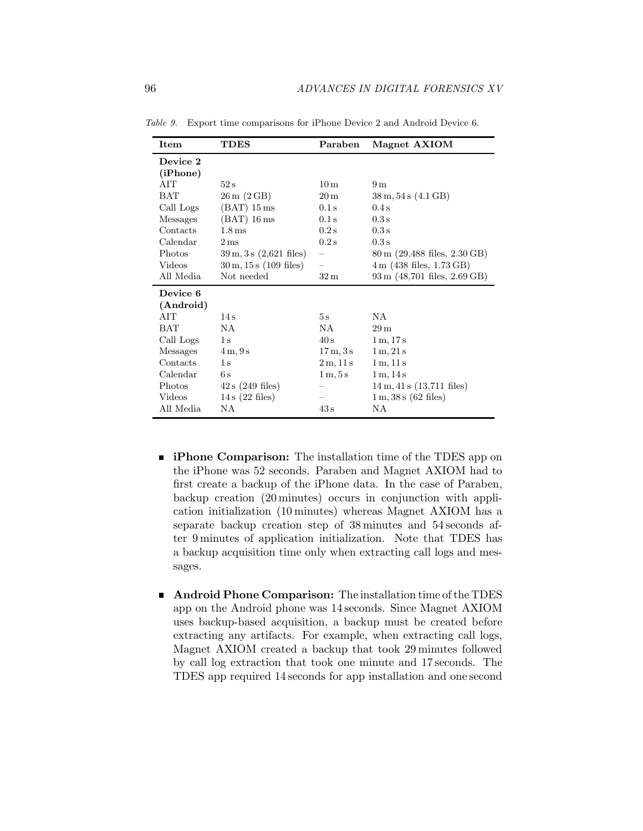| Item            | <b>TDES</b>                                                  | Paraben          | Magnet AXIOM                           |
|-----------------|--------------------------------------------------------------|------------------|----------------------------------------|
| Device 2        |                                                              |                  |                                        |
| (iPhone)        |                                                              |                  |                                        |
| AIT             | 52s                                                          | 10 <sub>m</sub>  | 9 <sub>m</sub>                         |
| BAT             | $26 \,\mathrm{m}$ $(2 \,\mathrm{GB})$                        | $20\,\mathrm{m}$ | 38 m, 54 s (4.1 GB)                    |
| Call Logs       | $(BAT)$ 15 ms                                                | 0.1 s            | 0.4s                                   |
| <b>Messages</b> | $(BAT)$ 16 ms                                                | 0.1 s            | 0.3s                                   |
| Contacts        | $1.8 \,\mathrm{ms}$                                          | 0.2 s            | 0.3s                                   |
| Calendar        | $2 \,\mathrm{ms}$                                            | 0.2 s            | 0.3 s                                  |
| <b>Photos</b>   | $39 \,\mathrm{m}, 3 \,\mathrm{s}$ $(2,621 \,\mathrm{files})$ | -                | $80 \text{ m}$ (29,488 files, 2.30 GB) |
| Videos          | $30 \,\mathrm{m}$ , $15 \,\mathrm{s}$ (109 files)            | —                | $4 \,\mathrm{m}$ (438 files, 1.73 GB)  |
| All Media       | Not needed                                                   | $32\,\mathrm{m}$ | 93 m (48,701 files, 2.69 GB)           |
| Device 6        |                                                              |                  |                                        |
| (Android)       |                                                              |                  |                                        |
| AIT             | 14s                                                          | 5s               | NA                                     |
| <b>BAT</b>      | NΑ                                                           | ΝA               | 29 <sub>m</sub>                        |
| Call Logs       | 1s                                                           | 40s              | 1 m, 17 s                              |
| <b>Messages</b> | 4m, 9s                                                       | 17m, 3s          | 1 m, 21 s                              |
| Contacts        | 1s                                                           | 2 m, 11 s        | $1 m$ , 11 s                           |
| Calendar        | 6s                                                           | 1 m, 5 s         | 1 m, 14 s                              |
| Photos          | 42 s (249 files)                                             |                  | $14 m, 41 s (13,711 \text{ files})$    |
| Videos          | 14 s (22 files)                                              |                  | $1 m, 38 s$ (62 files)                 |
| All Media       | NА                                                           | 43 s             | NΑ                                     |

*Table 9.* Export time comparisons for iPhone Device 2 and Android Device 6.

- **F iPhone Comparison:** The installation time of the TDES app on the iPhone was 52 seconds. Paraben and Magnet AXIOM had to first create a backup of the iPhone data. In the case of Paraben, backup creation (20 minutes) occurs in conjunction with application initialization (10 minutes) whereas Magnet AXIOM has a separate backup creation step of 38 minutes and 54 seconds after 9 minutes of application initialization. Note that TDES has a backup acquisition time only when extracting call logs and messages.
- **Android Phone Comparison:** The installation time of the TDES app on the Android phone was 14 seconds. Since Magnet AXIOM uses backup-based acquisition, a backup must be created before extracting any artifacts. For example, when extracting call logs, Magnet AXIOM created a backup that took 29 minutes followed by call log extraction that took one minute and 17 seconds. The TDES app required 14 seconds for app installation and one second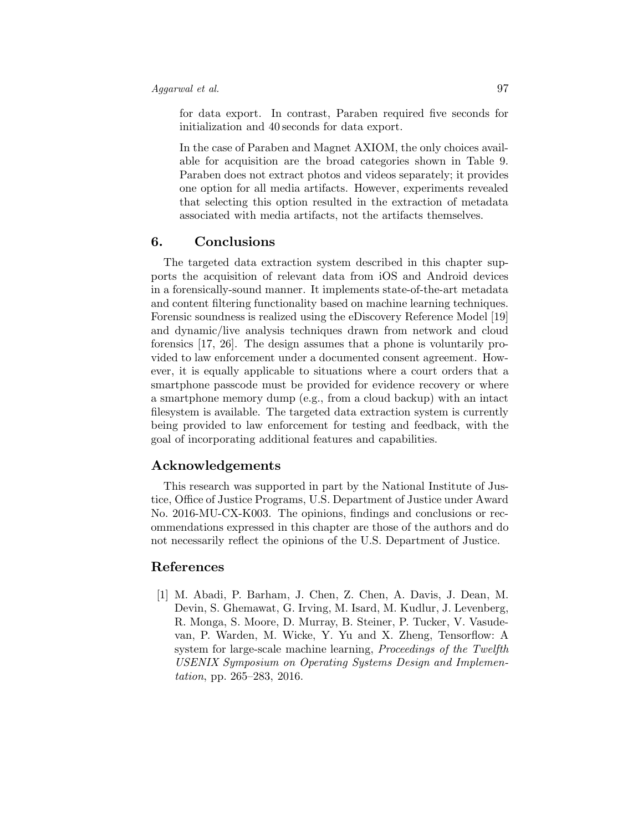for data export. In contrast, Paraben required five seconds for initialization and 40 seconds for data export.

In the case of Paraben and Magnet AXIOM, the only choices available for acquisition are the broad categories shown in Table 9. Paraben does not extract photos and videos separately; it provides one option for all media artifacts. However, experiments revealed that selecting this option resulted in the extraction of metadata associated with media artifacts, not the artifacts themselves.

## **6. Conclusions**

The targeted data extraction system described in this chapter supports the acquisition of relevant data from iOS and Android devices in a forensically-sound manner. It implements state-of-the-art metadata and content filtering functionality based on machine learning techniques. Forensic soundness is realized using the eDiscovery Reference Model [19] and dynamic/live analysis techniques drawn from network and cloud forensics [17, 26]. The design assumes that a phone is voluntarily provided to law enforcement under a documented consent agreement. However, it is equally applicable to situations where a court orders that a smartphone passcode must be provided for evidence recovery or where a smartphone memory dump (e.g., from a cloud backup) with an intact filesystem is available. The targeted data extraction system is currently being provided to law enforcement for testing and feedback, with the goal of incorporating additional features and capabilities.

## **Acknowledgements**

This research was supported in part by the National Institute of Justice, Office of Justice Programs, U.S. Department of Justice under Award No. 2016-MU-CX-K003. The opinions, findings and conclusions or recommendations expressed in this chapter are those of the authors and do not necessarily reflect the opinions of the U.S. Department of Justice.

## **References**

[1] M. Abadi, P. Barham, J. Chen, Z. Chen, A. Davis, J. Dean, M. Devin, S. Ghemawat, G. Irving, M. Isard, M. Kudlur, J. Levenberg, R. Monga, S. Moore, D. Murray, B. Steiner, P. Tucker, V. Vasudevan, P. Warden, M. Wicke, Y. Yu and X. Zheng, Tensorflow: A system for large-scale machine learning, *Proceedings of the Twelfth USENIX Symposium on Operating Systems Design and Implementation*, pp. 265–283, 2016.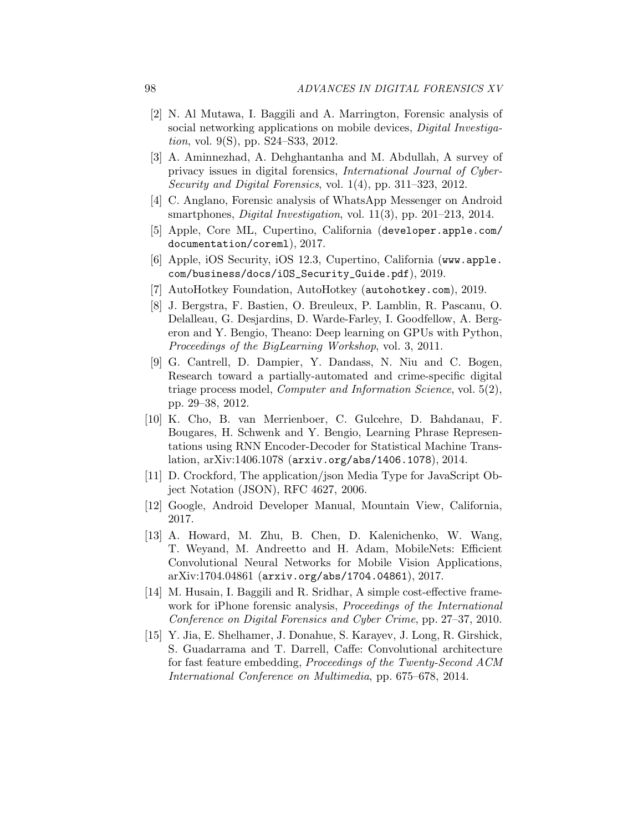- [2] N. Al Mutawa, I. Baggili and A. Marrington, Forensic analysis of social networking applications on mobile devices, *Digital Investigation*, vol. 9(S), pp. S24–S33, 2012.
- [3] A. Aminnezhad, A. Dehghantanha and M. Abdullah, A survey of privacy issues in digital forensics, *International Journal of Cyber-Security and Digital Forensics*, vol. 1(4), pp. 311–323, 2012.
- [4] C. Anglano, Forensic analysis of WhatsApp Messenger on Android smartphones, *Digital Investigation*, vol. 11(3), pp. 201–213, 2014.
- [5] Apple, Core ML, Cupertino, California (developer.apple.com/ documentation/coreml), 2017.
- [6] Apple, iOS Security, iOS 12.3, Cupertino, California (www.apple. com/business/docs/iOS\_Security\_Guide.pdf), 2019.
- [7] AutoHotkey Foundation, AutoHotkey (autohotkey.com), 2019.
- [8] J. Bergstra, F. Bastien, O. Breuleux, P. Lamblin, R. Pascanu, O. Delalleau, G. Desjardins, D. Warde-Farley, I. Goodfellow, A. Bergeron and Y. Bengio, Theano: Deep learning on GPUs with Python, *Proceedings of the BigLearning Workshop*, vol. 3, 2011.
- [9] G. Cantrell, D. Dampier, Y. Dandass, N. Niu and C. Bogen, Research toward a partially-automated and crime-specific digital triage process model, *Computer and Information Science*, vol. 5(2), pp. 29–38, 2012.
- [10] K. Cho, B. van Merrienboer, C. Gulcehre, D. Bahdanau, F. Bougares, H. Schwenk and Y. Bengio, Learning Phrase Representations using RNN Encoder-Decoder for Statistical Machine Translation, arXiv:1406.1078 (arxiv.org/abs/1406.1078), 2014.
- [11] D. Crockford, The application/json Media Type for JavaScript Object Notation (JSON), RFC 4627, 2006.
- [12] Google, Android Developer Manual, Mountain View, California, 2017.
- [13] A. Howard, M. Zhu, B. Chen, D. Kalenichenko, W. Wang, T. Weyand, M. Andreetto and H. Adam, MobileNets: Efficient Convolutional Neural Networks for Mobile Vision Applications, arXiv:1704.04861 (arxiv.org/abs/1704.04861), 2017.
- [14] M. Husain, I. Baggili and R. Sridhar, A simple cost-effective framework for iPhone forensic analysis, *Proceedings of the International Conference on Digital Forensics and Cyber Crime*, pp. 27–37, 2010.
- [15] Y. Jia, E. Shelhamer, J. Donahue, S. Karayev, J. Long, R. Girshick, S. Guadarrama and T. Darrell, Caffe: Convolutional architecture for fast feature embedding, *Proceedings of the Twenty-Second ACM International Conference on Multimedia*, pp. 675–678, 2014.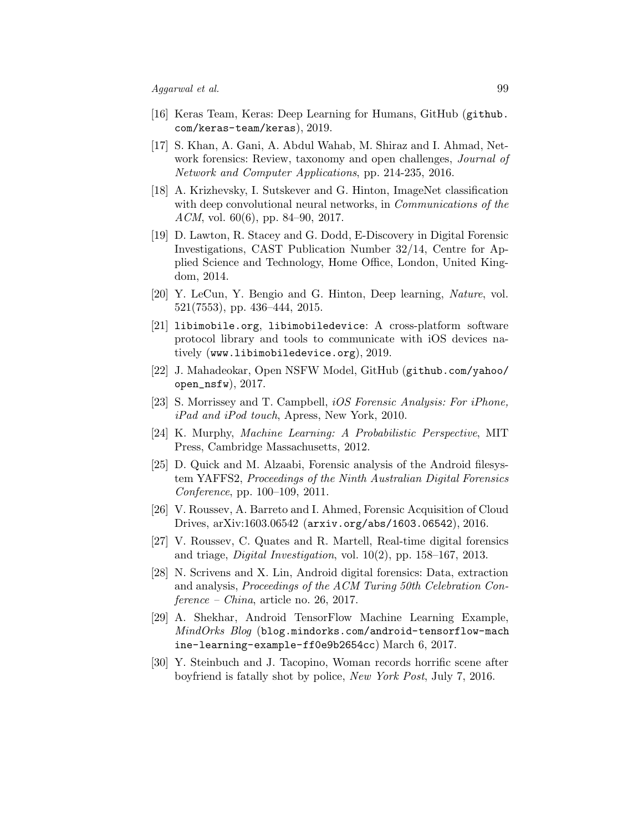- [16] Keras Team, Keras: Deep Learning for Humans, GitHub (github. com/keras-team/keras), 2019.
- [17] S. Khan, A. Gani, A. Abdul Wahab, M. Shiraz and I. Ahmad, Network forensics: Review, taxonomy and open challenges, *Journal of Network and Computer Applications*, pp. 214-235, 2016.
- [18] A. Krizhevsky, I. Sutskever and G. Hinton, ImageNet classification with deep convolutional neural networks, in *Communications of the ACM*, vol. 60(6), pp. 84–90, 2017.
- [19] D. Lawton, R. Stacey and G. Dodd, E-Discovery in Digital Forensic Investigations, CAST Publication Number 32/14, Centre for Applied Science and Technology, Home Office, London, United Kingdom, 2014.
- [20] Y. LeCun, Y. Bengio and G. Hinton, Deep learning, *Nature*, vol. 521(7553), pp. 436–444, 2015.
- [21] libimobile.org, libimobiledevice: A cross-platform software protocol library and tools to communicate with iOS devices natively (www.libimobiledevice.org), 2019.
- [22] J. Mahadeokar, Open NSFW Model, GitHub (github.com/yahoo/ open\_nsfw), 2017.
- [23] S. Morrissey and T. Campbell, *iOS Forensic Analysis: For iPhone, iPad and iPod touch*, Apress, New York, 2010.
- [24] K. Murphy, *Machine Learning: A Probabilistic Perspective*, MIT Press, Cambridge Massachusetts, 2012.
- [25] D. Quick and M. Alzaabi, Forensic analysis of the Android filesystem YAFFS2, *Proceedings of the Ninth Australian Digital Forensics Conference*, pp. 100–109, 2011.
- [26] V. Roussev, A. Barreto and I. Ahmed, Forensic Acquisition of Cloud Drives, arXiv:1603.06542 (arxiv.org/abs/1603.06542), 2016.
- [27] V. Roussev, C. Quates and R. Martell, Real-time digital forensics and triage, *Digital Investigation*, vol. 10(2), pp. 158–167, 2013.
- [28] N. Scrivens and X. Lin, Android digital forensics: Data, extraction and analysis, *Proceedings of the ACM Turing 50th Celebration Conference – China*, article no. 26, 2017.
- [29] A. Shekhar, Android TensorFlow Machine Learning Example, *MindOrks Blog* (blog.mindorks.com/android-tensorflow-mach ine-learning-example-ff0e9b2654cc) March 6, 2017.
- [30] Y. Steinbuch and J. Tacopino, Woman records horrific scene after boyfriend is fatally shot by police, *New York Post*, July 7, 2016.